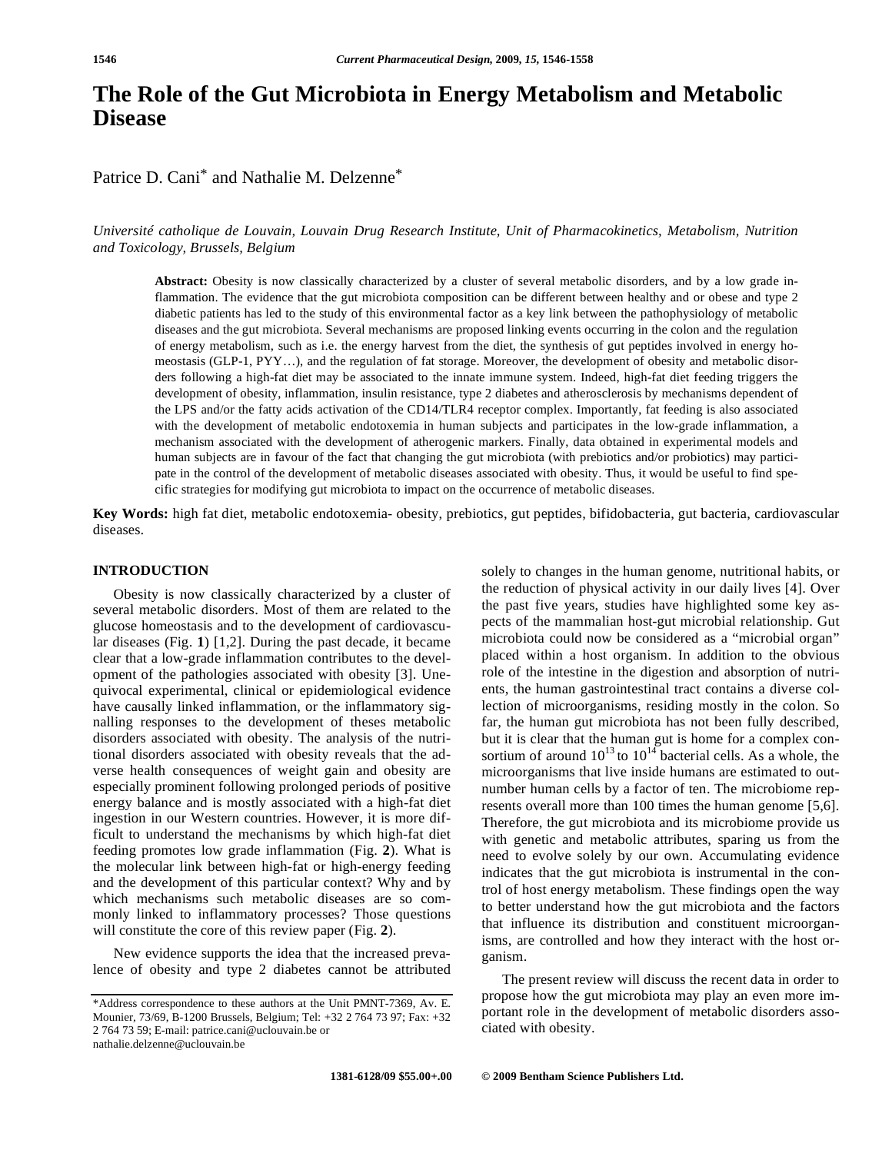# The Role of the Gut Microbiota in Energy Metabolism and Metabolic **Disease**

Patrice D. Cani<sup>\*</sup> and Nathalie M. Delzenne<sup>\*</sup>

# Université catholique de Louvain, Louvain Drug Research Institute, Unit of Pharmacokinetics, Metabolism, Nutrition and Toxicology, Brussels, Belgium

Abstract: Obesity is now classically characterized by a cluster of several metabolic disorders, and by a low grade inflammation. The evidence that the gut microbiota composition can be different between healthy and or obese and type 2 diabetic patients has led to the study of this environmental factor as a key link between the pathophysiology of metabolic diseases and the gut microbiota. Several mechanisms are proposed linking events occurring in the colon and the regulation of energy metabolism, such as i.e. the energy harvest from the diet, the synthesis of gut peptides involved in energy homeostasis (GLP-1, PYY...), and the regulation of fat storage. Moreover, the development of obesity and metabolic disorders following a high-fat diet may be associated to the innate immune system. Indeed, high-fat diet feeding triggers the development of obesity, inflammation, insulin resistance, type 2 diabetes and atherosclerosis by mechanisms dependent of the LPS and/or the fatty acids activation of the CD14/TLR4 receptor complex. Importantly, fat feeding is also associated with the development of metabolic endotoxemia in human subjects and participates in the low-grade inflammation, a mechanism associated with the development of atherogenic markers. Finally, data obtained in experimental models and human subjects are in favour of the fact that changing the gut microbiota (with prebiotics and/or probiotics) may participate in the control of the development of metabolic diseases associated with obesity. Thus, it would be useful to find specific strategies for modifying gut microbiota to impact on the occurrence of metabolic diseases.

Key Words: high fat diet, metabolic endotoxemia- obesity, prebiotics, gut peptides, bifidobacteria, gut bacteria, cardiovascular diseases.

# **INTRODUCTION**

Obesity is now classically characterized by a cluster of several metabolic disorders. Most of them are related to the glucose homeostasis and to the development of cardiovascular diseases (Fig. 1)  $[1,2]$ . During the past decade, it became clear that a low-grade inflammation contributes to the development of the pathologies associated with obesity [3]. Unequivocal experimental, clinical or epidemiological evidence have causally linked inflammation, or the inflammatory signalling responses to the development of theses metabolic disorders associated with obesity. The analysis of the nutritional disorders associated with obesity reveals that the adverse health consequences of weight gain and obesity are especially prominent following prolonged periods of positive energy balance and is mostly associated with a high-fat diet ingestion in our Western countries. However, it is more difficult to understand the mechanisms by which high-fat diet feeding promotes low grade inflammation (Fig. 2). What is the molecular link between high-fat or high-energy feeding and the development of this particular context? Why and by which mechanisms such metabolic diseases are so commonly linked to inflammatory processes? Those questions will constitute the core of this review paper (Fig. 2).

New evidence supports the idea that the increased prevalence of obesity and type 2 diabetes cannot be attributed solely to changes in the human genome, nutritional habits, or the reduction of physical activity in our daily lives [4]. Over the past five years, studies have highlighted some key aspects of the mammalian host-gut microbial relationship. Gut microbiota could now be considered as a "microbial organ" placed within a host organism. In addition to the obvious role of the intestine in the digestion and absorption of nutrients, the human gastrointestinal tract contains a diverse collection of microorganisms, residing mostly in the colon. So far, the human gut microbiota has not been fully described, but it is clear that the human gut is home for a complex consortium of around  $10^{13}$  to  $10^{14}$  bacterial cells. As a whole, the microorganisms that live inside humans are estimated to outnumber human cells by a factor of ten. The microbiome represents overall more than 100 times the human genome [5,6]. Therefore, the gut microbiota and its microbiome provide us with genetic and metabolic attributes, sparing us from the need to evolve solely by our own. Accumulating evidence indicates that the gut microbiota is instrumental in the control of host energy metabolism. These findings open the way to better understand how the gut microbiota and the factors that influence its distribution and constituent microorganisms, are controlled and how they interact with the host organism.

The present review will discuss the recent data in order to propose how the gut microbiota may play an even more important role in the development of metabolic disorders associated with obesity.

<sup>\*</sup>Address correspondence to these authors at the Unit PMNT-7369, Av. E. Mounier, 73/69, B-1200 Brussels, Belgium; Tel: +32 2 764 73 97; Fax: +32 2 764 73 59; E-mail: patrice.cani@uclouvain.be or nathalie.delzenne@uclouvain.be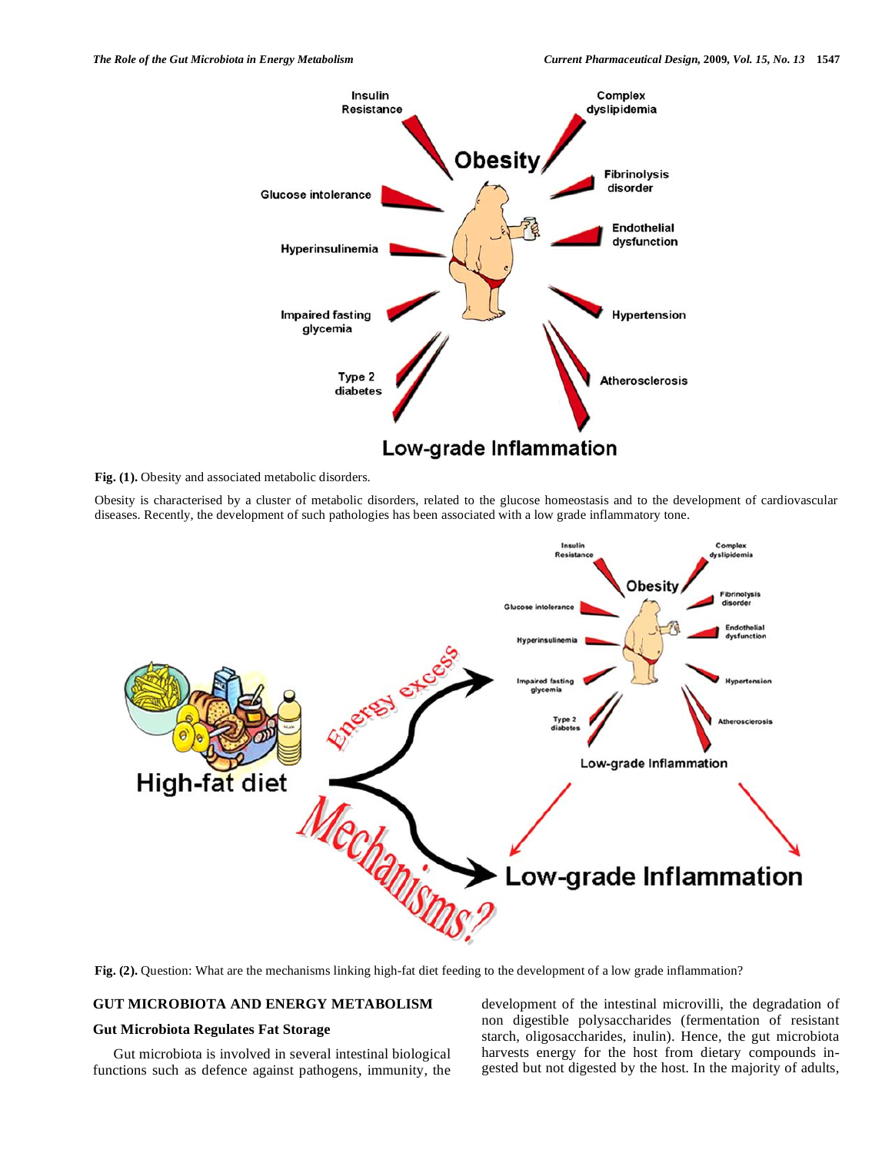

#### Fig. (1). Obesity and associated metabolic disorders.

Obesity is characterised by a cluster of metabolic disorders, related to the glucose homeostasis and to the development of cardiovascular diseases. Recently, the development of such pathologies has been associated with a low grade inflammatory tone.



Fig. (2). Question: What are the mechanisms linking high-fat diet feeding to the development of a low grade inflammation?

# GUT MICROBIOTA AND ENERGY METABOLISM

#### **Gut Microbiota Regulates Fat Storage**

Gut microbiota is involved in several intestinal biological functions such as defence against pathogens, immunity, the development of the intestinal microvilli, the degradation of non digestible polysaccharides (fermentation of resistant starch, oligosaccharides, inulin). Hence, the gut microbiota harvests energy for the host from dietary compounds ingested but not digested by the host. In the majority of adults,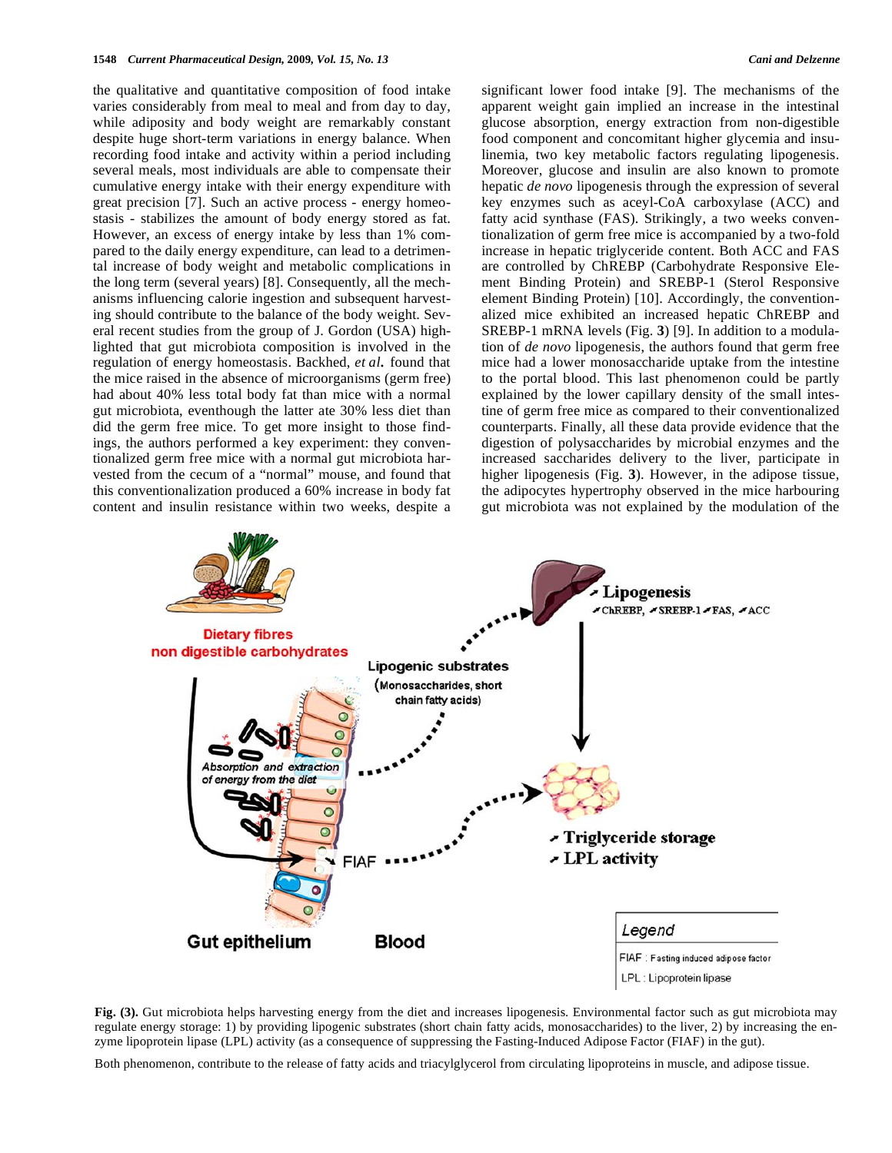the qualitative and quantitative composition of food intake varies considerably from meal to meal and from day to day, while adiposity and body weight are remarkably constant despite huge short-term variations in energy balance. When recording food intake and activity within a period including several meals, most individuals are able to compensate their cumulative energy intake with their energy expenditure with great precision [7]. Such an active process - energy homeostasis - stabilizes the amount of body energy stored as fat. However, an excess of energy intake by less than 1% compared to the daily energy expenditure, can lead to a detrimental increase of body weight and metabolic complications in the long term (several years) [8]. Consequently, all the mechanisms influencing calorie ingestion and subsequent harvesting should contribute to the balance of the body weight. Several recent studies from the group of J. Gordon (USA) highlighted that gut microbiota composition is involved in the regulation of energy homeostasis. Backhed, et al. found that the mice raised in the absence of microorganisms (germ free) had about 40% less total body fat than mice with a normal gut microbiota, eventhough the latter ate 30% less diet than did the germ free mice. To get more insight to those findings, the authors performed a key experiment: they conventionalized germ free mice with a normal gut microbiota harvested from the cecum of a "normal" mouse, and found that this conventionalization produced a 60% increase in body fat content and insulin resistance within two weeks, despite a significant lower food intake [9]. The mechanisms of the apparent weight gain implied an increase in the intestinal glucose absorption, energy extraction from non-digestible food component and concomitant higher glycemia and insulinemia, two key metabolic factors regulating lipogenesis. Moreover, glucose and insulin are also known to promote hepatic *de novo* lipogenesis through the expression of several key enzymes such as aceyl-CoA carboxylase (ACC) and fatty acid synthase (FAS). Strikingly, a two weeks conventionalization of germ free mice is accompanied by a two-fold increase in hepatic triglyceride content. Both ACC and FAS are controlled by ChREBP (Carbohydrate Responsive Element Binding Protein) and SREBP-1 (Sterol Responsive element Binding Protein) [10]. Accordingly, the conventionalized mice exhibited an increased hepatic ChREBP and SREBP-1 mRNA levels (Fig. 3) [9]. In addition to a modulation of *de novo* lipogenesis, the authors found that germ free mice had a lower monosaccharide uptake from the intestine to the portal blood. This last phenomenon could be partly explained by the lower capillary density of the small intestine of germ free mice as compared to their conventionalized counterparts. Finally, all these data provide evidence that the digestion of polysaccharides by microbial enzymes and the increased saccharides delivery to the liver, participate in higher lipogenesis (Fig. 3). However, in the adipose tissue, the adipocytes hypertrophy observed in the mice harbouring gut microbiota was not explained by the modulation of the



Fig. (3). Gut microbiota helps harvesting energy from the diet and increases lipogenesis. Environmental factor such as gut microbiota may regulate energy storage: 1) by providing lipogenic substrates (short chain fatty acids, monosaccharides) to the liver, 2) by increasing the enzyme lipoprotein lipase (LPL) activity (as a consequence of suppressing the Fasting-Induced Adipose Factor (FIAF) in the gut).

Both phenomenon, contribute to the release of fatty acids and triacylglycerol from circulating lipoproteins in muscle, and adipose tissue.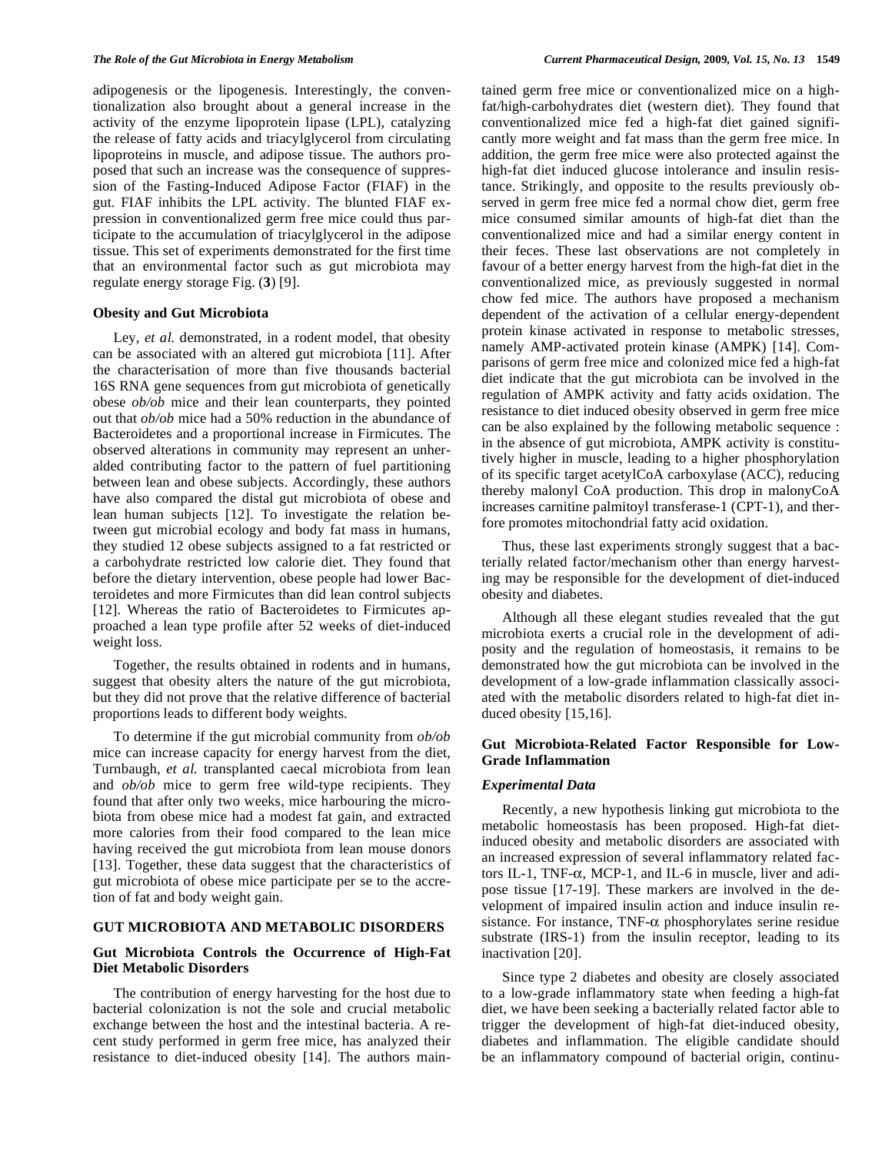adipogenesis or the lipogenesis. Interestingly, the conventionalization also brought about a general increase in the activity of the enzyme lipoprotein lipase (LPL), catalyzing the release of fatty acids and triacylglycerol from circulating lipoproteins in muscle, and adipose tissue. The authors proposed that such an increase was the consequence of suppression of the Fasting-Induced Adipose Factor (FIAF) in the gut. FIAF inhibits the LPL activity. The blunted FIAF expression in conventionalized germ free mice could thus participate to the accumulation of triacylglycerol in the adipose tissue. This set of experiments demonstrated for the first time that an environmental factor such as gut microbiota may regulate energy storage Fig. (3) [9].

#### **Obesity and Gut Microbiota**

Ley, et al. demonstrated, in a rodent model, that obesity can be associated with an altered gut microbiota [11]. After the characterisation of more than five thousands bacterial 16S RNA gene sequences from gut microbiota of genetically obese *ob/ob* mice and their lean counterparts, they pointed out that *ob/ob* mice had a 50% reduction in the abundance of Bacteroidetes and a proportional increase in Firmicutes. The observed alterations in community may represent an unheralded contributing factor to the pattern of fuel partitioning between lean and obese subjects. Accordingly, these authors have also compared the distal gut microbiota of obese and lean human subjects [12]. To investigate the relation between gut microbial ecology and body fat mass in humans, they studied 12 obese subjects assigned to a fat restricted or a carbohydrate restricted low calorie diet. They found that before the dietary intervention, obese people had lower Bacteroidetes and more Firmicutes than did lean control subjects [12]. Whereas the ratio of Bacteroidetes to Firmicutes approached a lean type profile after 52 weeks of diet-induced weight loss.

Together, the results obtained in rodents and in humans, suggest that obesity alters the nature of the gut microbiota, but they did not prove that the relative difference of bacterial proportions leads to different body weights.

To determine if the gut microbial community from ob/ob mice can increase capacity for energy harvest from the diet, Turnbaugh, et al. transplanted caecal microbiota from lean and *ob/ob* mice to germ free wild-type recipients. They found that after only two weeks, mice harbouring the microbiota from obese mice had a modest fat gain, and extracted more calories from their food compared to the lean mice having received the gut microbiota from lean mouse donors [13]. Together, these data suggest that the characteristics of gut microbiota of obese mice participate per se to the accretion of fat and body weight gain.

# **GUT MICROBIOTA AND METABOLIC DISORDERS**

# Gut Microbiota Controls the Occurrence of High-Fat **Diet Metabolic Disorders**

The contribution of energy harvesting for the host due to bacterial colonization is not the sole and crucial metabolic exchange between the host and the intestinal bacteria. A recent study performed in germ free mice, has analyzed their resistance to diet-induced obesity [14]. The authors maintained germ free mice or conventionalized mice on a highfat/high-carbohydrates diet (western diet). They found that conventionalized mice fed a high-fat diet gained significantly more weight and fat mass than the germ free mice. In addition, the germ free mice were also protected against the high-fat diet induced glucose intolerance and insulin resistance. Strikingly, and opposite to the results previously observed in germ free mice fed a normal chow diet, germ free mice consumed similar amounts of high-fat diet than the conventionalized mice and had a similar energy content in their feces. These last observations are not completely in favour of a better energy harvest from the high-fat diet in the conventionalized mice, as previously suggested in normal chow fed mice. The authors have proposed a mechanism dependent of the activation of a cellular energy-dependent protein kinase activated in response to metabolic stresses, namely AMP-activated protein kinase (AMPK) [14]. Comparisons of germ free mice and colonized mice fed a high-fat diet indicate that the gut microbiota can be involved in the regulation of AMPK activity and fatty acids oxidation. The resistance to diet induced obesity observed in germ free mice can be also explained by the following metabolic sequence : in the absence of gut microbiota, AMPK activity is constitutively higher in muscle, leading to a higher phosphorylation of its specific target acetylCoA carboxylase (ACC), reducing thereby malonyl CoA production. This drop in malonyCoA increases carnitine palmitovl transferase-1 (CPT-1), and therfore promotes mitochondrial fatty acid oxidation.

Thus, these last experiments strongly suggest that a bacterially related factor/mechanism other than energy harvesting may be responsible for the development of diet-induced obesity and diabetes.

Although all these elegant studies revealed that the gut microbiota exerts a crucial role in the development of adiposity and the regulation of homeostasis, it remains to be demonstrated how the gut microbiota can be involved in the development of a low-grade inflammation classically associated with the metabolic disorders related to high-fat diet induced obesity  $[15,16]$ .

## Gut Microbiota-Related Factor Responsible for Low-**Grade Inflammation**

#### **Experimental Data**

Recently, a new hypothesis linking gut microbiota to the metabolic homeostasis has been proposed. High-fat dietinduced obesity and metabolic disorders are associated with an increased expression of several inflammatory related factors IL-1, TNF- $\alpha$ , MCP-1, and IL-6 in muscle, liver and adipose tissue [17-19]. These markers are involved in the development of impaired insulin action and induce insulin resistance. For instance,  $TNF-\alpha$  phosphorylates serine residue substrate (IRS-1) from the insulin receptor, leading to its inactivation [20].

Since type 2 diabetes and obesity are closely associated to a low-grade inflammatory state when feeding a high-fat diet, we have been seeking a bacterially related factor able to trigger the development of high-fat diet-induced obesity, diabetes and inflammation. The eligible candidate should be an inflammatory compound of bacterial origin, continu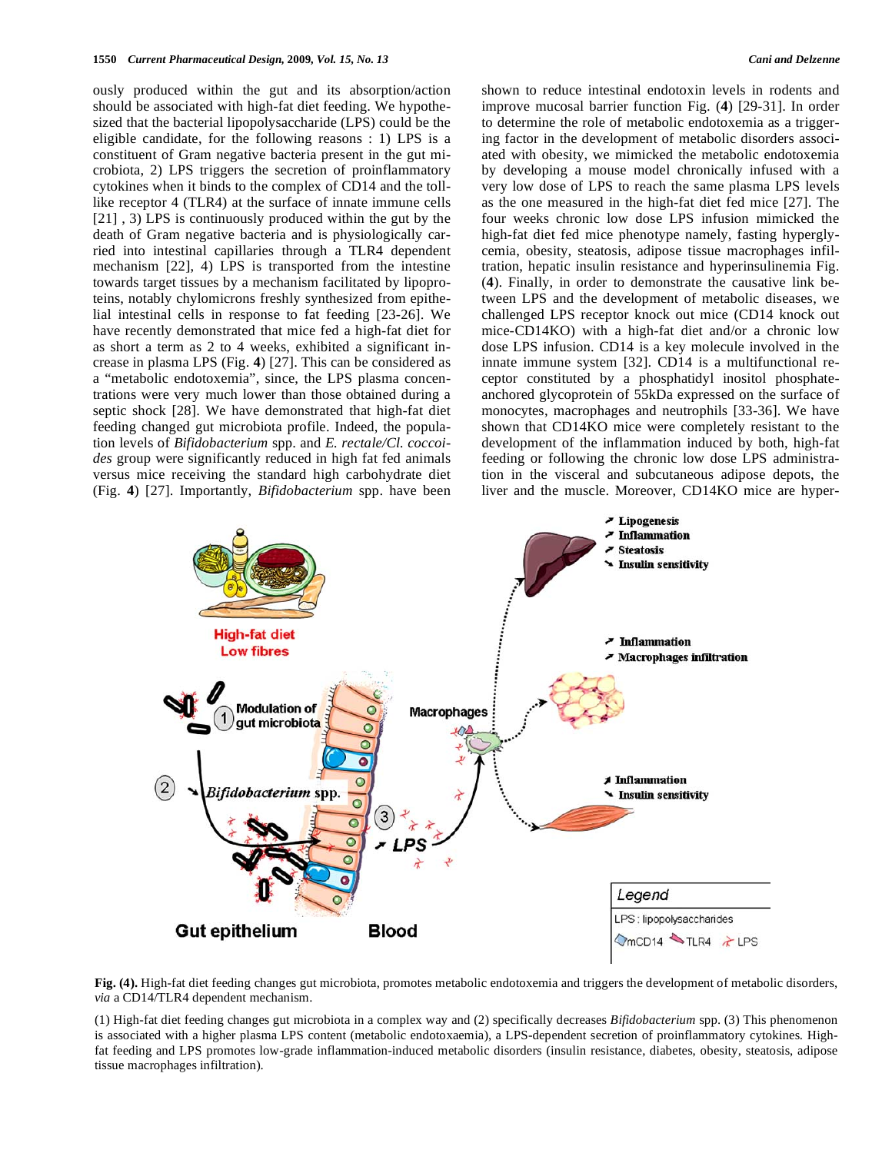ously produced within the gut and its absorption/action should be associated with high-fat diet feeding. We hypothesized that the bacterial lipopolysaccharide (LPS) could be the eligible candidate, for the following reasons : 1) LPS is a constituent of Gram negative bacteria present in the gut microbiota, 2) LPS triggers the secretion of proinflammatory cytokines when it binds to the complex of CD14 and the tolllike receptor 4 (TLR4) at the surface of innate immune cells [21], 3) LPS is continuously produced within the gut by the death of Gram negative bacteria and is physiologically carried into intestinal capillaries through a TLR4 dependent mechanism [22], 4) LPS is transported from the intestine towards target tissues by a mechanism facilitated by lipoproteins, notably chylomicrons freshly synthesized from epithelial intestinal cells in response to fat feeding [23-26]. We have recently demonstrated that mice fed a high-fat diet for as short a term as 2 to 4 weeks, exhibited a significant increase in plasma LPS (Fig. 4) [27]. This can be considered as a "metabolic endotoxemia", since, the LPS plasma concentrations were very much lower than those obtained during a septic shock [28]. We have demonstrated that high-fat diet feeding changed gut microbiota profile. Indeed, the population levels of *Bifidobacterium* spp. and *E. rectale/Cl. coccoides* group were significantly reduced in high fat fed animals versus mice receiving the standard high carbohydrate diet (Fig. 4) [27]. Importantly, *Bifidobacterium* spp. have been shown to reduce intestinal endotoxin levels in rodents and improve mucosal barrier function Fig. (4) [29-31]. In order to determine the role of metabolic endotoxemia as a triggering factor in the development of metabolic disorders associated with obesity, we mimicked the metabolic endotoxemia by developing a mouse model chronically infused with a very low dose of LPS to reach the same plasma LPS levels as the one measured in the high-fat diet fed mice [27]. The four weeks chronic low dose LPS infusion mimicked the high-fat diet fed mice phenotype namely, fasting hyperglycemia, obesity, steatosis, adipose tissue macrophages infiltration, hepatic insulin resistance and hyperinsulinemia Fig. (4). Finally, in order to demonstrate the causative link between LPS and the development of metabolic diseases, we challenged LPS receptor knock out mice (CD14 knock out mice-CD14KO) with a high-fat diet and/or a chronic low dose LPS infusion. CD14 is a key molecule involved in the innate immune system [32]. CD14 is a multifunctional receptor constituted by a phosphatidyl inositol phosphateanchored glycoprotein of 55kDa expressed on the surface of monocytes, macrophages and neutrophils [33-36]. We have shown that CD14KO mice were completely resistant to the development of the inflammation induced by both, high-fat feeding or following the chronic low dose LPS administration in the visceral and subcutaneous adipose depots, the liver and the muscle. Moreover, CD14KO mice are hyper-



Fig. (4). High-fat diet feeding changes gut microbiota, promotes metabolic endotoxemia and triggers the development of metabolic disorders, via a CD14/TLR4 dependent mechanism.

(1) High-fat diet feeding changes gut microbiota in a complex way and (2) specifically decreases Bifidobacterium spp. (3) This phenomenon is associated with a higher plasma LPS content (metabolic endotoxaemia), a LPS-dependent secretion of proinflammatory cytokines. Highfat feeding and LPS promotes low-grade inflammation-induced metabolic disorders (insulin resistance, diabetes, obesity, steatosis, adipose tissue macrophages infiltration).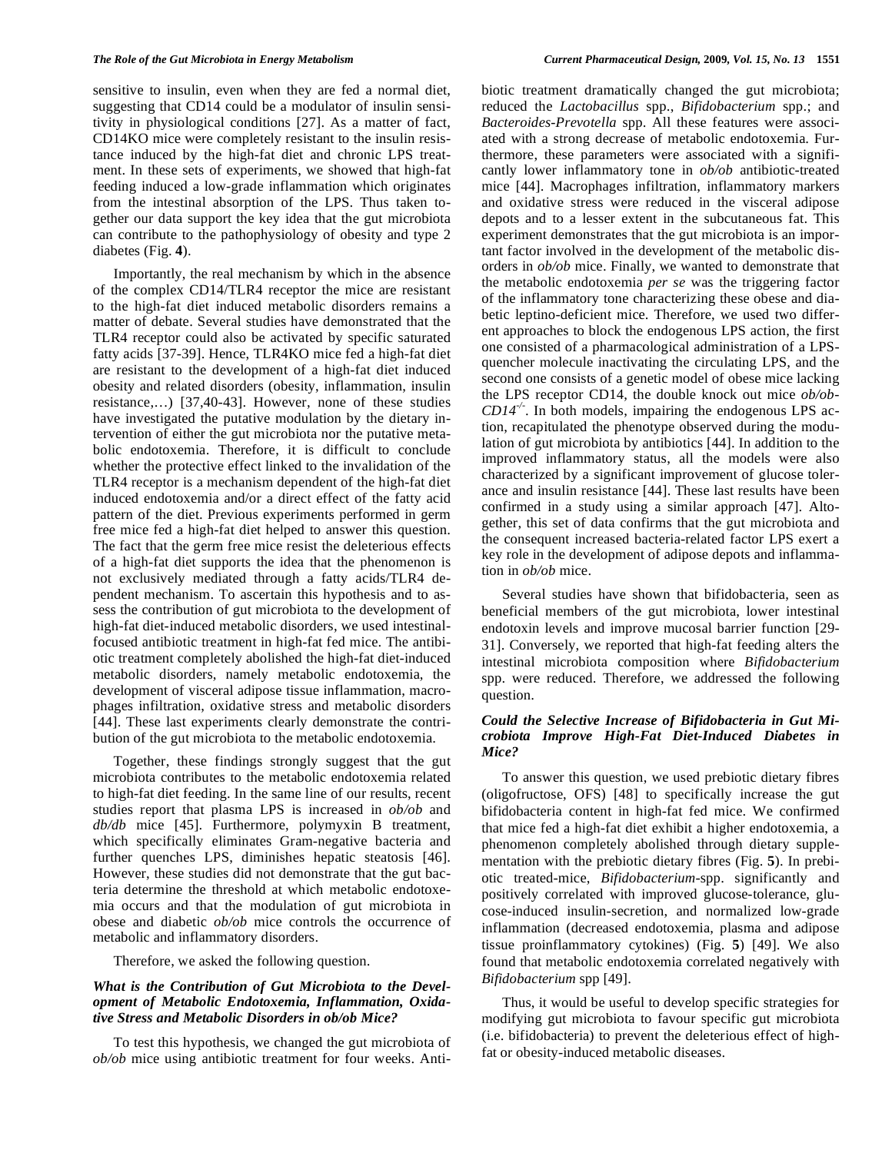sensitive to insulin, even when they are fed a normal diet, suggesting that CD14 could be a modulator of insulin sensitivity in physiological conditions [27]. As a matter of fact, CD14KO mice were completely resistant to the insulin resistance induced by the high-fat diet and chronic LPS treatment. In these sets of experiments, we showed that high-fat feeding induced a low-grade inflammation which originates from the intestinal absorption of the LPS. Thus taken together our data support the key idea that the gut microbiota can contribute to the pathophysiology of obesity and type 2 diabetes (Fig. 4).

Importantly, the real mechanism by which in the absence of the complex CD14/TLR4 receptor the mice are resistant to the high-fat diet induced metabolic disorders remains a matter of debate. Several studies have demonstrated that the TLR4 receptor could also be activated by specific saturated fatty acids [37-39]. Hence, TLR4KO mice fed a high-fat diet are resistant to the development of a high-fat diet induced obesity and related disorders (obesity, inflammation, insulin resistance,...) [37,40-43]. However, none of these studies have investigated the putative modulation by the dietary intervention of either the gut microbiota nor the putative metabolic endotoxemia. Therefore, it is difficult to conclude whether the protective effect linked to the invalidation of the TLR4 receptor is a mechanism dependent of the high-fat diet induced endotoxemia and/or a direct effect of the fatty acid pattern of the diet. Previous experiments performed in germ free mice fed a high-fat diet helped to answer this question. The fact that the germ free mice resist the deleterious effects of a high-fat diet supports the idea that the phenomenon is not exclusively mediated through a fatty acids/TLR4 dependent mechanism. To ascertain this hypothesis and to assess the contribution of gut microbiota to the development of high-fat diet-induced metabolic disorders, we used intestinalfocused antibiotic treatment in high-fat fed mice. The antibiotic treatment completely abolished the high-fat diet-induced metabolic disorders, namely metabolic endotoxemia, the development of visceral adipose tissue inflammation, macrophages infiltration, oxidative stress and metabolic disorders [44]. These last experiments clearly demonstrate the contribution of the gut microbiota to the metabolic endotoxemia.

Together, these findings strongly suggest that the gut microbiota contributes to the metabolic endotoxemia related to high-fat diet feeding. In the same line of our results, recent studies report that plasma LPS is increased in ob/ob and  $db/db$  mice [45]. Furthermore, polymyxin B treatment, which specifically eliminates Gram-negative bacteria and further quenches LPS, diminishes hepatic steatosis [46]. However, these studies did not demonstrate that the gut bacteria determine the threshold at which metabolic endotoxemia occurs and that the modulation of gut microbiota in obese and diabetic *ob/ob* mice controls the occurrence of metabolic and inflammatory disorders.

Therefore, we asked the following question.

## What is the Contribution of Gut Microbiota to the Development of Metabolic Endotoxemia, Inflammation, Oxidative Stress and Metabolic Disorders in ob/ob Mice?

To test this hypothesis, we changed the gut microbiota of  $ob/ob$  mice using antibiotic treatment for four weeks. Antibiotic treatment dramatically changed the gut microbiota; reduced the *Lactobacillus* spp., *Bifidobacterium* spp.; and Bacteroides-Prevotella spp. All these features were associated with a strong decrease of metabolic endotoxemia. Furthermore, these parameters were associated with a significantly lower inflammatory tone in *ob/ob* antibiotic-treated mice [44]. Macrophages infiltration, inflammatory markers and oxidative stress were reduced in the visceral adipose depots and to a lesser extent in the subcutaneous fat. This experiment demonstrates that the gut microbiota is an important factor involved in the development of the metabolic disorders in *ob/ob* mice. Finally, we wanted to demonstrate that the metabolic endotoxemia per se was the triggering factor of the inflammatory tone characterizing these obese and diabetic leptino-deficient mice. Therefore, we used two different approaches to block the endogenous LPS action, the first one consisted of a pharmacological administration of a LPSquencher molecule inactivating the circulating LPS, and the second one consists of a genetic model of obese mice lacking the LPS receptor CD14, the double knock out mice ob/ob- $CD14^{\frac{1}{2}}$ . In both models, impairing the endogenous LPS action, recapitulated the phenotype observed during the modulation of gut microbiota by antibiotics [44]. In addition to the improved inflammatory status, all the models were also characterized by a significant improvement of glucose tolerance and insulin resistance [44]. These last results have been confirmed in a study using a similar approach [47]. Altogether, this set of data confirms that the gut microbiota and the consequent increased bacteria-related factor LPS exert a key role in the development of adipose depots and inflammation in  $ob/ob$  mice.

Several studies have shown that bifidobacteria, seen as beneficial members of the gut microbiota, lower intestinal endotoxin levels and improve mucosal barrier function [29-31]. Conversely, we reported that high-fat feeding alters the intestinal microbiota composition where Bifidobacterium spp. were reduced. Therefore, we addressed the following question.

# Could the Selective Increase of Bifidobacteria in Gut Microbiota Improve High-Fat Diet-Induced Diabetes in Mice?

To answer this question, we used prebiotic dietary fibres (oligofructose, OFS) [48] to specifically increase the gut bifidobacteria content in high-fat fed mice. We confirmed that mice fed a high-fat diet exhibit a higher endotoxemia, a phenomenon completely abolished through dietary supplementation with the prebiotic dietary fibres (Fig. 5). In prebiotic treated-mice, Bifidobacterium-spp. significantly and positively correlated with improved glucose-tolerance, glucose-induced insulin-secretion, and normalized low-grade inflammation (decreased endotoxemia, plasma and adipose tissue proinflammatory cytokines) (Fig. 5) [49]. We also found that metabolic endotoxemia correlated negatively with Bifidobacterium spp [49].

Thus, it would be useful to develop specific strategies for modifying gut microbiota to favour specific gut microbiota (i.e. bifidobacteria) to prevent the deleterious effect of highfat or obesity-induced metabolic diseases.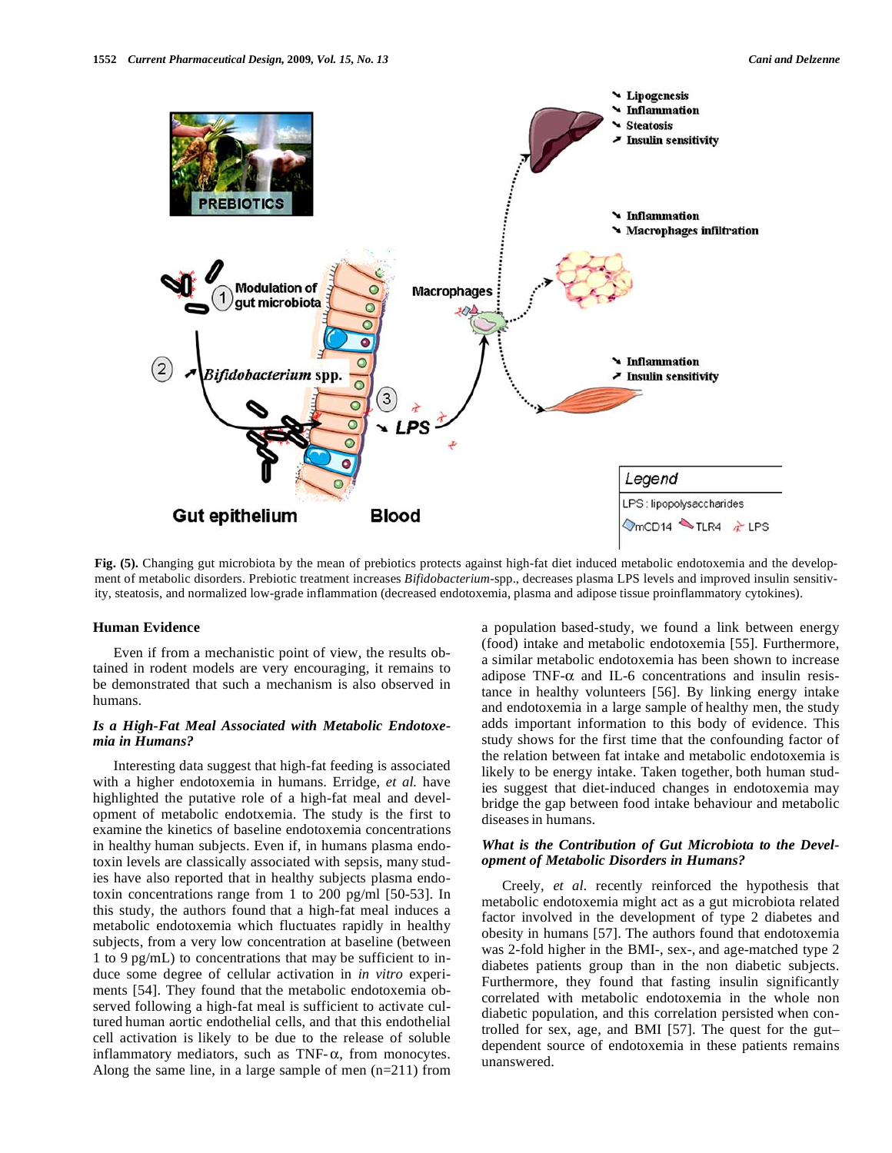

Fig. (5). Changing gut microbiota by the mean of prebiotics protects against high-fat diet induced metabolic endotoxemia and the development of metabolic disorders. Prebiotic treatment increases Bifidobacterium-spp., decreases plasma LPS levels and improved insulin sensitivity, steatosis, and normalized low-grade inflammation (decreased endotoxemia, plasma and adipose tissue proinflammatory cytokines).

#### **Human Evidence**

Even if from a mechanistic point of view, the results obtained in rodent models are very encouraging, it remains to be demonstrated that such a mechanism is also observed in humans.

## Is a High-Fat Meal Associated with Metabolic Endotoxemia in Humans?

Interesting data suggest that high-fat feeding is associated with a higher endotoxemia in humans. Erridge, et al. have highlighted the putative role of a high-fat meal and development of metabolic endotxemia. The study is the first to examine the kinetics of baseline endotoxemia concentrations in healthy human subjects. Even if, in humans plasma endotoxin levels are classically associated with sepsis, many studies have also reported that in healthy subjects plasma endotoxin concentrations range from 1 to 200 pg/ml  $[50-53]$ . In this study, the authors found that a high-fat meal induces a metabolic endotoxemia which fluctuates rapidly in healthy subjects, from a very low concentration at baseline (between 1 to 9 pg/mL) to concentrations that may be sufficient to induce some degree of cellular activation in *in vitro* experiments [54]. They found that the metabolic endotoxemia observed following a high-fat meal is sufficient to activate cultured human aortic endothelial cells, and that this endothelial cell activation is likely to be due to the release of soluble inflammatory mediators, such as  $TNF - \alpha$ , from monocytes. Along the same line, in a large sample of men  $(n=211)$  from a population based-study, we found a link between energy (food) intake and metabolic endotoxemia [55]. Furthermore, a similar metabolic endotoxemia has been shown to increase adipose TNF- $\alpha$  and IL-6 concentrations and insulin resistance in healthy volunteers [56]. By linking energy intake and endotoxemia in a large sample of healthy men, the study adds important information to this body of evidence. This study shows for the first time that the confounding factor of the relation between fat intake and metabolic endotoxemia is likely to be energy intake. Taken together, both human studies suggest that diet-induced changes in endotoxemia may bridge the gap between food intake behaviour and metabolic diseases in humans.

### What is the Contribution of Gut Microbiota to the Development of Metabolic Disorders in Humans?

Creely, et al. recently reinforced the hypothesis that metabolic endotoxemia might act as a gut microbiota related factor involved in the development of type 2 diabetes and obesity in humans [57]. The authors found that endotoxemia was 2-fold higher in the BMI-, sex-, and age-matched type 2 diabetes patients group than in the non diabetic subjects. Furthermore, they found that fasting insulin significantly correlated with metabolic endotoxemia in the whole non diabetic population, and this correlation persisted when controlled for sex, age, and BMI [57]. The quest for the gutdependent source of endotoxemia in these patients remains unanswered.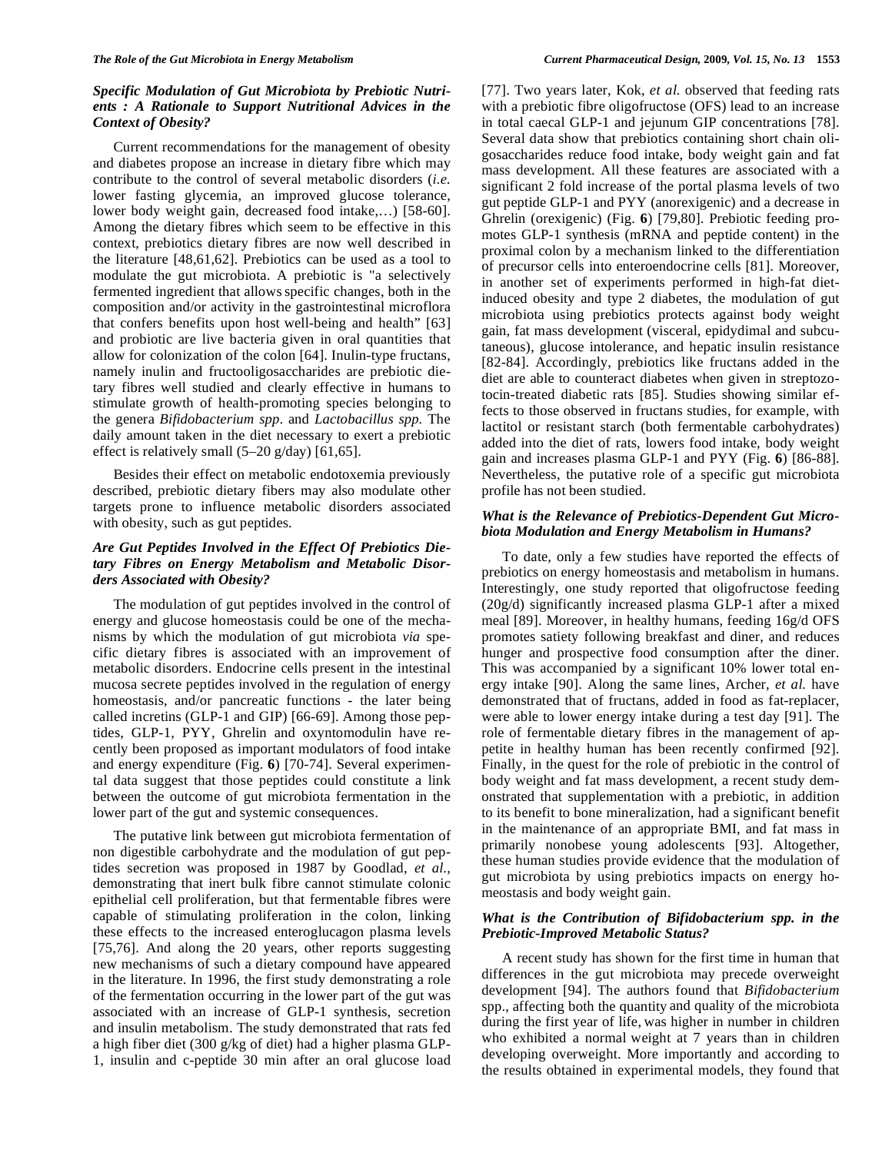## Specific Modulation of Gut Microbiota by Prebiotic Nutrients: A Rationale to Support Nutritional Advices in the **Context of Obesity?**

Current recommendations for the management of obesity and diabetes propose an increase in dietary fibre which may contribute to the control of several metabolic disorders (i.e. lower fasting glycemia, an improved glucose tolerance, lower body weight gain, decreased food intake....) [58-60]. Among the dietary fibres which seem to be effective in this context, prebiotics dietary fibres are now well described in the literature  $[48,61,62]$ . Prebiotics can be used as a tool to modulate the gut microbiota. A prebiotic is "a selectively fermented ingredient that allows specific changes, both in the composition and/or activity in the gastrointestinal microflora that confers benefits upon host well-being and health" [63] and probiotic are live bacteria given in oral quantities that allow for colonization of the colon [64]. Inulin-type fructans, namely inulin and fructooligosaccharides are prebiotic dietary fibres well studied and clearly effective in humans to stimulate growth of health-promoting species belonging to the genera Bifidobacterium spp. and Lactobacillus spp. The daily amount taken in the diet necessary to exert a prebiotic effect is relatively small  $(5-20 g/day)$  [61,65].

Besides their effect on metabolic endotoxemia previously described, prebiotic dietary fibers may also modulate other targets prone to influence metabolic disorders associated with obesity, such as gut peptides.

# Are Gut Peptides Involved in the Effect Of Prebiotics Dietary Fibres on Energy Metabolism and Metabolic Disorders Associated with Obesity?

The modulation of gut peptides involved in the control of energy and glucose homeostasis could be one of the mechanisms by which the modulation of gut microbiota via specific dietary fibres is associated with an improvement of metabolic disorders. Endocrine cells present in the intestinal mucosa secrete peptides involved in the regulation of energy homeostasis, and/or pancreatic functions - the later being called incretins (GLP-1 and GIP) [66-69]. Among those peptides, GLP-1, PYY, Ghrelin and oxyntomodulin have recently been proposed as important modulators of food intake and energy expenditure (Fig.  $6$ ) [70-74]. Several experimental data suggest that those peptides could constitute a link between the outcome of gut microbiota fermentation in the lower part of the gut and systemic consequences.

The putative link between gut microbiota fermentation of non digestible carbohydrate and the modulation of gut peptides secretion was proposed in 1987 by Goodlad, et al., demonstrating that inert bulk fibre cannot stimulate colonic epithelial cell proliferation, but that fermentable fibres were capable of stimulating proliferation in the colon, linking these effects to the increased enteroglucagon plasma levels [75,76]. And along the 20 years, other reports suggesting new mechanisms of such a dietary compound have appeared in the literature. In 1996, the first study demonstrating a role of the fermentation occurring in the lower part of the gut was associated with an increase of GLP-1 synthesis, secretion and insulin metabolism. The study demonstrated that rats fed a high fiber diet (300 g/kg of diet) had a higher plasma GLP-1, insulin and c-peptide 30 min after an oral glucose load [77]. Two years later, Kok, et al. observed that feeding rats with a prebiotic fibre oligofructose (OFS) lead to an increase in total caecal GLP-1 and jejunum GIP concentrations [78]. Several data show that prebiotics containing short chain oligosaccharides reduce food intake, body weight gain and fat mass development. All these features are associated with a significant 2 fold increase of the portal plasma levels of two gut peptide GLP-1 and PYY (anorexigenic) and a decrease in Ghrelin (or exigenic) (Fig. 6) [79,80]. Prebiotic feeding promotes GLP-1 synthesis (mRNA and peptide content) in the proximal colon by a mechanism linked to the differentiation of precursor cells into enteroendocrine cells [81]. Moreover, in another set of experiments performed in high-fat dietinduced obesity and type 2 diabetes, the modulation of gut microbiota using prebiotics protects against body weight gain, fat mass development (visceral, epidydimal and subcutaneous), glucose intolerance, and hepatic insulin resistance [82-84]. Accordingly, prebiotics like fructans added in the diet are able to counteract diabetes when given in streptozotocin-treated diabetic rats [85]. Studies showing similar effects to those observed in fructans studies, for example, with lactitol or resistant starch (both fermentable carbohydrates) added into the diet of rats, lowers food intake, body weight gain and increases plasma GLP-1 and PYY (Fig. 6) [86-88]. Nevertheless, the putative role of a specific gut microbiota profile has not been studied.

### What is the Relevance of Prebiotics-Dependent Gut Microbiota Modulation and Energy Metabolism in Humans?

To date, only a few studies have reported the effects of prebiotics on energy homeostasis and metabolism in humans. Interestingly, one study reported that oligofructose feeding (20g/d) significantly increased plasma GLP-1 after a mixed meal [89]. Moreover, in healthy humans, feeding 16g/d OFS promotes satiety following breakfast and diner, and reduces hunger and prospective food consumption after the diner. This was accompanied by a significant 10% lower total energy intake [90]. Along the same lines, Archer, et al. have demonstrated that of fructans, added in food as fat-replacer, were able to lower energy intake during a test day [91]. The role of fermentable dietary fibres in the management of appetite in healthy human has been recently confirmed [92]. Finally, in the quest for the role of prebiotic in the control of body weight and fat mass development, a recent study demonstrated that supplementation with a prebiotic, in addition to its benefit to bone mineralization, had a significant benefit in the maintenance of an appropriate BMI, and fat mass in primarily nonobese young adolescents [93]. Altogether, these human studies provide evidence that the modulation of gut microbiota by using prebiotics impacts on energy homeostasis and body weight gain.

### What is the Contribution of Bifidobacterium spp. in the **Prebiotic-Improved Metabolic Status?**

A recent study has shown for the first time in human that differences in the gut microbiota may precede overweight development [94]. The authors found that Bifidobacterium spp., affecting both the quantity and quality of the microbiota during the first year of life, was higher in number in children who exhibited a normal weight at 7 years than in children developing overweight. More importantly and according to the results obtained in experimental models, they found that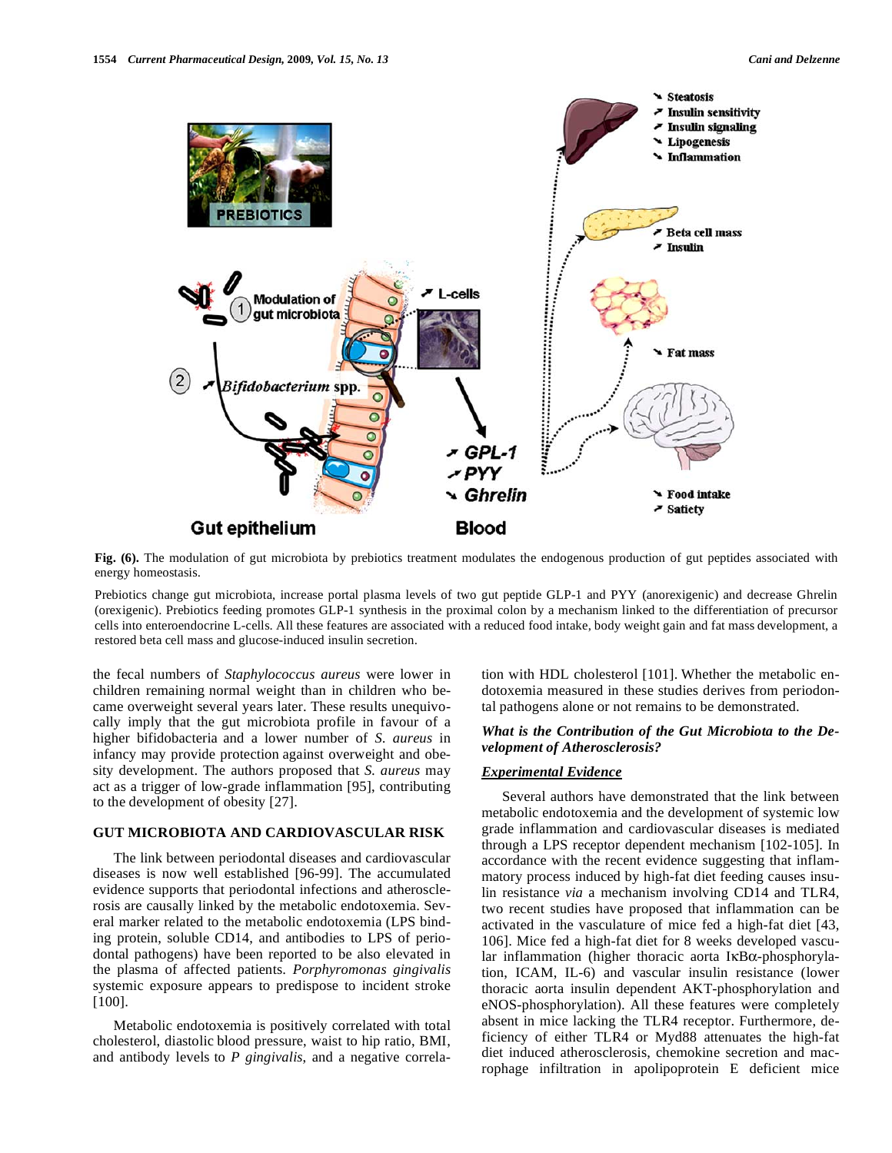

Fig. (6). The modulation of gut microbiota by prebiotics treatment modulates the endogenous production of gut peptides associated with energy homeostasis.

Prebiotics change gut microbiota, increase portal plasma levels of two gut peptide GLP-1 and PYY (anorexigenic) and decrease Ghrelin (orexigenic). Prebiotics feeding promotes GLP-1 synthesis in the proximal colon by a mechanism linked to the differentiation of precursor cells into enteroendocrine L-cells. All these features are associated with a reduced food intake, body weight gain and fat mass development, a restored beta cell mass and glucose-induced insulin secretion.

the fecal numbers of *Staphylococcus aureus* were lower in children remaining normal weight than in children who became overweight several years later. These results unequivocally imply that the gut microbiota profile in favour of a higher bifidobacteria and a lower number of S. aureus in infancy may provide protection against overweight and obesity development. The authors proposed that *S. aureus* may act as a trigger of low-grade inflammation [95], contributing to the development of obesity [27].

#### **GUT MICROBIOTA AND CARDIOVASCULAR RISK**

The link between periodontal diseases and cardiovascular diseases is now well established [96-99]. The accumulated evidence supports that periodontal infections and atherosclerosis are causally linked by the metabolic endotoxemia. Several marker related to the metabolic endotoxemia (LPS binding protein, soluble CD14, and antibodies to LPS of periodontal pathogens) have been reported to be also elevated in the plasma of affected patients. Porphyromonas gingivalis systemic exposure appears to predispose to incident stroke  $[100]$ .

Metabolic endotoxemia is positively correlated with total cholesterol, diastolic blood pressure, waist to hip ratio, BMI, and antibody levels to  $P$  gingivalis, and a negative correlation with HDL cholesterol [101]. Whether the metabolic endotoxemia measured in these studies derives from periodontal pathogens alone or not remains to be demonstrated.

# What is the Contribution of the Gut Microbiota to the Development of Atherosclerosis?

#### **Experimental Evidence**

Several authors have demonstrated that the link between metabolic endotoxemia and the development of systemic low grade inflammation and cardiovascular diseases is mediated through a LPS receptor dependent mechanism [102-105]. In accordance with the recent evidence suggesting that inflammatory process induced by high-fat diet feeding causes insulin resistance *via* a mechanism involving CD14 and TLR4, two recent studies have proposed that inflammation can be activated in the vasculature of mice fed a high-fat diet [43, 106]. Mice fed a high-fat diet for 8 weeks developed vascular inflammation (higher thoracic aorta  $I \kappa B\alpha$ -phosphorylation, ICAM, IL-6) and vascular insulin resistance (lower thoracic aorta insulin dependent AKT-phosphorylation and eNOS-phosphorylation). All these features were completely absent in mice lacking the TLR4 receptor. Furthermore, deficiency of either TLR4 or Myd88 attenuates the high-fat diet induced atherosclerosis, chemokine secretion and macrophage infiltration in apolipoprotein E deficient mice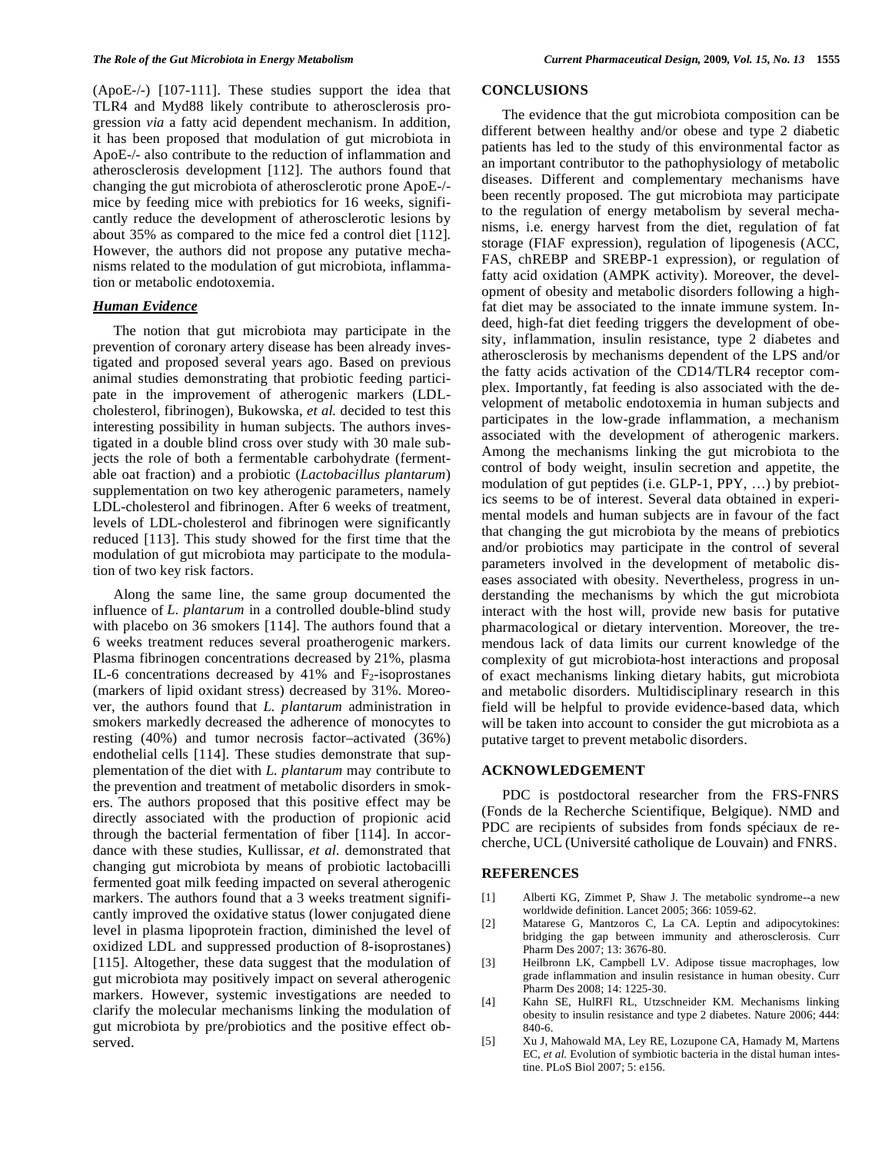$(ApoE-/-)$  [107-111]. These studies support the idea that TLR4 and Myd88 likely contribute to atherosclerosis progression *via* a fatty acid dependent mechanism. In addition, it has been proposed that modulation of gut microbiota in ApoE-/- also contribute to the reduction of inflammation and atherosclerosis development [112]. The authors found that changing the gut microbiota of atherosclerotic prone ApoE-/mice by feeding mice with prebiotics for 16 weeks, significantly reduce the development of atherosclerotic lesions by about 35% as compared to the mice fed a control diet [112]. However, the authors did not propose any putative mechanisms related to the modulation of gut microbiota, inflammation or metabolic endotoxemia.

# **Human Evidence**

The notion that gut microbiota may participate in the prevention of coronary artery disease has been already investigated and proposed several years ago. Based on previous animal studies demonstrating that probiotic feeding participate in the improvement of atherogenic markers (LDLcholesterol, fibrinogen), Bukowska, et al. decided to test this interesting possibility in human subjects. The authors investigated in a double blind cross over study with 30 male subjects the role of both a fermentable carbohydrate (fermentable oat fraction) and a probiotic (Lactobacillus plantarum) supplementation on two key atherogenic parameters, namely LDL-cholesterol and fibrinogen. After 6 weeks of treatment, levels of LDL-cholesterol and fibrinogen were significantly reduced [113]. This study showed for the first time that the modulation of gut microbiota may participate to the modulation of two key risk factors.

Along the same line, the same group documented the influence of L. plantarum in a controlled double-blind study with placebo on 36 smokers [114]. The authors found that a 6 weeks treatment reduces several proatherogenic markers. Plasma fibrinogen concentrations decreased by 21%, plasma IL-6 concentrations decreased by 41% and  $F_2$ -isoprostanes (markers of lipid oxidant stress) decreased by 31%. Moreover, the authors found that L. plantarum administration in smokers markedly decreased the adherence of monocytes to resting  $(40\%)$  and tumor necrosis factor-activated  $(36\%)$ endothelial cells [114]. These studies demonstrate that supplementation of the diet with L. plantarum may contribute to the prevention and treatment of metabolic disorders in smokers. The authors proposed that this positive effect may be directly associated with the production of propionic acid through the bacterial fermentation of fiber [114]. In accordance with these studies, Kullissar, et al. demonstrated that changing gut microbiota by means of probiotic lactobacilli fermented goat milk feeding impacted on several atherogenic markers. The authors found that a 3 weeks treatment significantly improved the oxidative status (lower conjugated diene level in plasma lipoprotein fraction, diminished the level of oxidized LDL and suppressed production of 8-isoprostanes) [115]. Altogether, these data suggest that the modulation of gut microbiota may positively impact on several atherogenic markers. However, systemic investigations are needed to clarify the molecular mechanisms linking the modulation of gut microbiota by pre/probiotics and the positive effect observed.

# **CONCLUSIONS**

The evidence that the gut microbiota composition can be different between healthy and/or obese and type 2 diabetic patients has led to the study of this environmental factor as an important contributor to the pathophysiology of metabolic diseases. Different and complementary mechanisms have been recently proposed. The gut microbiota may participate to the regulation of energy metabolism by several mechanisms, i.e. energy harvest from the diet, regulation of fat storage (FIAF expression), regulation of lipogenesis (ACC, FAS, chREBP and SREBP-1 expression), or regulation of fatty acid oxidation (AMPK activity). Moreover, the development of obesity and metabolic disorders following a highfat diet may be associated to the innate immune system. Indeed, high-fat diet feeding triggers the development of obesity, inflammation, insulin resistance, type 2 diabetes and atherosclerosis by mechanisms dependent of the LPS and/or the fatty acids activation of the CD14/TLR4 receptor complex. Importantly, fat feeding is also associated with the development of metabolic endotoxemia in human subjects and participates in the low-grade inflammation, a mechanism associated with the development of atherogenic markers. Among the mechanisms linking the gut microbiota to the control of body weight, insulin secretion and appetite, the modulation of gut peptides (i.e. GLP-1, PPY, ...) by prebiotics seems to be of interest. Several data obtained in experimental models and human subjects are in favour of the fact that changing the gut microbiota by the means of prebiotics and/or probiotics may participate in the control of several parameters involved in the development of metabolic diseases associated with obesity. Nevertheless, progress in understanding the mechanisms by which the gut microbiota interact with the host will, provide new basis for putative pharmacological or dietary intervention. Moreover, the tremendous lack of data limits our current knowledge of the complexity of gut microbiota-host interactions and proposal of exact mechanisms linking dietary habits, gut microbiota and metabolic disorders. Multidisciplinary research in this field will be helpful to provide evidence-based data, which will be taken into account to consider the gut microbiota as a putative target to prevent metabolic disorders.

### **ACKNOWLEDGEMENT**

PDC is postdoctoral researcher from the FRS-FNRS (Fonds de la Recherche Scientifique, Belgique). NMD and PDC are recipients of subsides from fonds spéciaux de recherche, UCL (Université catholique de Louvain) and FNRS.

#### **REFERENCES**

- Alberti KG, Zimmet P, Shaw J. The metabolic syndrome--a new  $[1]$ worldwide definition. Lancet 2005; 366: 1059-62.
- Matarese G, Mantzoros C, La CA. Leptin and adipocytokines:  $[2]$ bridging the gap between immunity and atherosclerosis. Curr Pharm Des 2007; 13: 3676-80.
- Heilbronn LK, Campbell LV. Adipose tissue macrophages, low  $\lceil 3 \rceil$ grade inflammation and insulin resistance in human obesity. Curr Pharm Des 2008: 14: 1225-30.
- $[4]$ Kahn SE, HulRFl RL, Utzschneider KM. Mechanisms linking obesity to insulin resistance and type 2 diabetes. Nature 2006; 444: 840-6.
- $[5]$ Xu J, Mahowald MA, Ley RE, Lozupone CA, Hamady M, Martens EC, et al. Evolution of symbiotic bacteria in the distal human intestine. PLoS Biol 2007; 5: e156.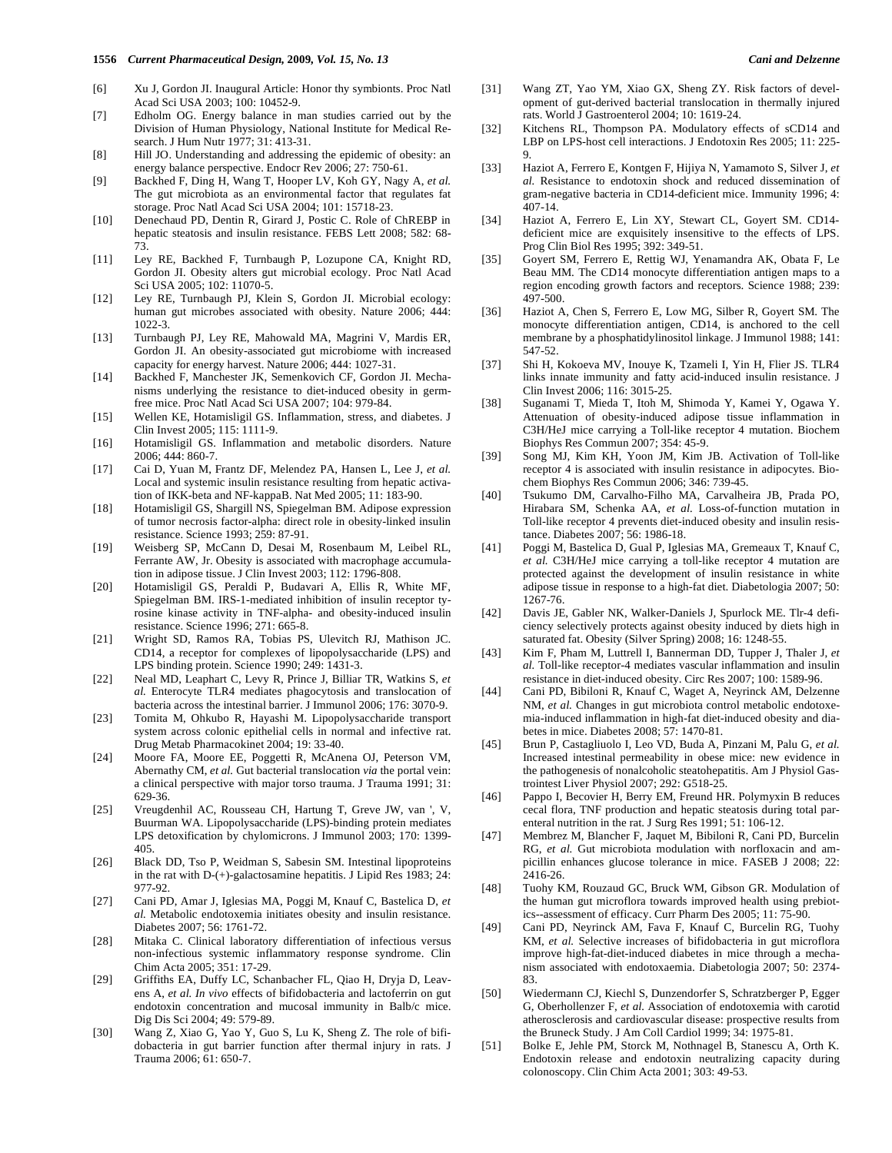- Edholm OG. Energy balance in man studies carried out by the  $[7]$ Division of Human Physiology, National Institute for Medical Research. J Hum Nutr 1977; 31: 413-31.
- $[8]$ Hill JO. Understanding and addressing the epidemic of obesity: an energy balance perspective. Endocr Rev 2006; 27: 750-61.
- $[9]$ Backhed F, Ding H, Wang T, Hooper LV, Koh GY, Nagy A, et al. The gut microbiota as an environmental factor that regulates fat storage. Proc Natl Acad Sci USA 2004; 101: 15718-23.
- $[10]$ Denechaud PD, Dentin R, Girard J, Postic C, Role of ChREBP in hepatic steatosis and insulin resistance. FEBS Lett 2008; 582: 68-73.
- Ley RE, Backhed F, Turnbaugh P, Lozupone CA, Knight RD,  $[11]$ Gordon JI. Obesity alters gut microbial ecology. Proc Natl Acad Sci USA 2005; 102: 11070-5.
- Ley RE, Turnbaugh PJ, Klein S, Gordon JI. Microbial ecology:  $\lceil 12 \rceil$ human gut microbes associated with obesity. Nature 2006; 444:  $1022 - 3$
- $[13]$ Turnbaugh PJ, Ley RE, Mahowald MA, Magrini V, Mardis ER, Gordon JI. An obesity-associated gut microbiome with increased capacity for energy harvest. Nature 2006; 444: 1027-31.
- Backhed F, Manchester JK, Semenkovich CF, Gordon JI. Mecha- $[14]$ nisms underlying the resistance to diet-induced obesity in germfree mice. Proc Natl Acad Sci USA 2007; 104: 979-84.
- $[15]$ Wellen KE, Hotamisligil GS. Inflammation, stress, and diabetes. J Clin Invest 2005; 115: 1111-9.
- Hotamisligil GS. Inflammation and metabolic disorders. Nature  $[16]$ 2006; 444: 860-7.
- $[17]$ Cai D, Yuan M, Frantz DF, Melendez PA, Hansen L, Lee J, et al. Local and systemic insulin resistance resulting from hepatic activation of IKK-beta and NF-kappaB. Nat Med 2005; 11: 183-90.
- Hotamisligil GS, Shargill NS, Spiegelman BM. Adipose expression  $[18]$ of tumor necrosis factor-alpha: direct role in obesity-linked insulin resistance. Science 1993; 259: 87-91.
- Weisberg SP, McCann D, Desai M, Rosenbaum M, Leibel RL,  $[19]$ Ferrante AW, Jr. Obesity is associated with macrophage accumulation in adipose tissue. J Clin Invest 2003: 112: 1796-808.
- $[20]$ Hotamisligil GS, Peraldi P, Budavari A, Ellis R, White MF, Spiegelman BM. IRS-1-mediated inhibition of insulin receptor tyrosine kinase activity in TNF-alpha- and obesity-induced insulin resistance. Science 1996; 271: 665-8.
- Wright SD, Ramos RA, Tobias PS, Ulevitch RJ, Mathison JC.  $[21]$ CD14, a receptor for complexes of lipopolysaccharide (LPS) and LPS binding protein. Science 1990; 249: 1431-3.
- $[22]$ Neal MD, Leaphart C, Levy R, Prince J, Billiar TR, Watkins S, et al. Enterocyte TLR4 mediates phagocytosis and translocation of bacteria across the intestinal barrier. J Immunol 2006; 176: 3070-9.
- Tomita M, Ohkubo R, Hayashi M. Lipopolysaccharide transport  $[23]$ system across colonic epithelial cells in normal and infective rat. Drug Metab Pharmacokinet 2004; 19: 33-40.
- $[24]$ Moore FA, Moore EE, Poggetti R, McAnena OJ, Peterson VM, Abernathy CM, et al. Gut bacterial translocation via the portal vein: a clinical perspective with major torso trauma. J Trauma 1991; 31: 629-36.
- $[25]$ Vreugdenhil AC, Rousseau CH, Hartung T, Greve JW, van ', V, Buurman WA. Lipopolysaccharide (LPS)-binding protein mediates LPS detoxification by chylomicrons. J Immunol 2003; 170: 1399-
- Black DD, Tso P, Weidman S, Sabesin SM. Intestinal lipoproteins  $[26]$ in the rat with D-(+)-galactosamine hepatitis. J Lipid Res 1983; 24: 977-92.
- $[27]$ Cani PD, Amar J, Iglesias MA, Poggi M, Knauf C, Bastelica D, et al. Metabolic endotoxemia initiates obesity and insulin resistance. Diabetes 2007: 56: 1761-72.
- $[28]$ Mitaka C. Clinical laboratory differentiation of infectious versus non-infectious systemic inflammatory response syndrome. Clin Chim Acta 2005; 351: 17-29.
- $[29]$ Griffiths EA, Duffy LC, Schanbacher FL, Qiao H, Dryja D, Leavens A, et al. In vivo effects of bifidobacteria and lactoferrin on gut endotoxin concentration and mucosal immunity in Balb/c mice. Dig Dis Sci 2004: 49: 579-89.
- $[30]$ Wang Z, Xiao G, Yao Y, Guo S, Lu K, Sheng Z. The role of bifidobacteria in gut barrier function after thermal injury in rats. J Trauma 2006; 61: 650-7.
- Wang ZT, Yao YM, Xiao GX, Sheng ZY. Risk factors of devel-[31] opment of gut-derived bacterial translocation in thermally injured rats. World J Gastroenterol 2004; 10: 1619-24.
- $[32]$ Kitchens RL, Thompson PA. Modulatory effects of sCD14 and LBP on LPS-host cell interactions. J Endotoxin Res 2005; 11: 225- $\mathbf Q$
- $[33]$ Haziot A, Ferrero E, Kontgen F, Hijiya N, Yamamoto S, Silver J, et al. Resistance to endotoxin shock and reduced dissemination of gram-negative bacteria in CD14-deficient mice. Immunity 1996; 4:  $407 - 14$ .
- Haziot A, Ferrero E, Lin XY, Stewart CL, Goyert SM. CD14- $[34]$ deficient mice are exquisitely insensitive to the effects of LPS. Prog Clin Biol Res 1995; 392: 349-51.
- $[35]$ Goyert SM, Ferrero E, Rettig WJ, Yenamandra AK, Obata F, Le Beau MM. The CD14 monocyte differentiation antigen maps to a region encoding growth factors and receptors. Science 1988; 239: 497-500.
- Haziot A, Chen S, Ferrero E, Low MG, Silber R, Goyert SM. The [36] monocyte differentiation antigen, CD14, is anchored to the cell membrane by a phosphatidylinositol linkage. J Immunol 1988; 141: 547-52
- Shi H, Kokoeva MV, Inouye K, Tzameli I, Yin H, Flier JS. TLR4 [37] links innate immunity and fatty acid-induced insulin resistance. J Clin Invest 2006; 116: 3015-25.
- $[38]$ Suganami T, Mieda T, Itoh M, Shimoda Y, Kamei Y, Ogawa Y. Attenuation of obesity-induced adipose tissue inflammation in C3H/HeJ mice carrying a Toll-like receptor 4 mutation. Biochem Biophys Res Commun 2007; 354: 45-9.
- $[39]$ Song MJ, Kim KH, Yoon JM, Kim JB. Activation of Toll-like receptor 4 is associated with insulin resistance in adipocytes. Biochem Biophys Res Commun 2006; 346: 739-45.
- [40] Tsukumo DM, Carvalho-Filho MA, Carvalheira JB, Prada PO, Hirabara SM, Schenka AA, et al. Loss-of-function mutation in Toll-like receptor 4 prevents diet-induced obesity and insulin resistance. Diabetes 2007; 56: 1986-18.
- Poggi M, Bastelica D, Gual P, Iglesias MA, Gremeaux T, Knauf C,  $[41]$ et al. C3H/HeJ mice carrying a toll-like receptor 4 mutation are protected against the development of insulin resistance in white adipose tissue in response to a high-fat diet. Diabetologia 2007; 50: 1267-76.
- $[42]$ Davis JE, Gabler NK, Walker-Daniels J, Spurlock ME. Tlr-4 deficiency selectively protects against obesity induced by diets high in saturated fat. Obesity (Silver Spring) 2008; 16: 1248-55.
- [43] Kim F, Pham M, Luttrell I, Bannerman DD, Tupper J, Thaler J, et al. Toll-like receptor-4 mediates vascular inflammation and insulin resistance in diet-induced obesity. Circ Res 2007; 100: 1589-96.
- $[44]$ Cani PD, Bibiloni R, Knauf C, Waget A, Neyrinck AM, Delzenne NM, et al. Changes in gut microbiota control metabolic endotoxemia-induced inflammation in high-fat diet-induced obesity and diabetes in mice. Diabetes 2008; 57: 1470-81.
- $[45]$ Brun P, Castagliuolo I, Leo VD, Buda A, Pinzani M, Palu G, et al. Increased intestinal permeability in obese mice: new evidence in the pathogenesis of nonalcoholic steatohepatitis. Am J Physiol Gastrointest Liver Physiol 2007; 292: G518-25.
- $[46]$ Pappo I, Becovier H, Berry EM, Freund HR. Polymyxin B reduces cecal flora, TNF production and hepatic steatosis during total parenteral nutrition in the rat. J Surg Res 1991; 51: 106-12.
- $[47]$ Membrez M, Blancher F, Jaquet M, Bibiloni R, Cani PD, Burcelin RG, et al. Gut microbiota modulation with norfloxacin and ampicillin enhances glucose tolerance in mice. FASEB J 2008; 22: 2416-26.
- $[48]$ Tuohy KM, Rouzaud GC, Bruck WM, Gibson GR. Modulation of the human gut microflora towards improved health using prebiotics--assessment of efficacy. Curr Pharm Des 2005; 11: 75-90.
- $[49]$ Cani PD, Neyrinck AM, Fava F, Knauf C, Burcelin RG, Tuohy KM, et al. Selective increases of bifidobacteria in gut microflora improve high-fat-diet-induced diabetes in mice through a mechanism associated with endotoxaemia. Diabetologia 2007; 50: 2374-83.
- $[50]$ Wiedermann CJ, Kiechl S, Dunzendorfer S, Schratzberger P, Egger G, Oberhollenzer F, et al. Association of endotoxemia with carotid atherosclerosis and cardiovascular disease: prospective results from the Bruneck Study. J Am Coll Cardiol 1999; 34: 1975-81.
- $[51]$ Bolke E, Jehle PM, Storck M, Nothnagel B, Stanescu A, Orth K. Endotoxin release and endotoxin neutralizing capacity during colonoscopy. Clin Chim Acta 2001; 303: 49-53.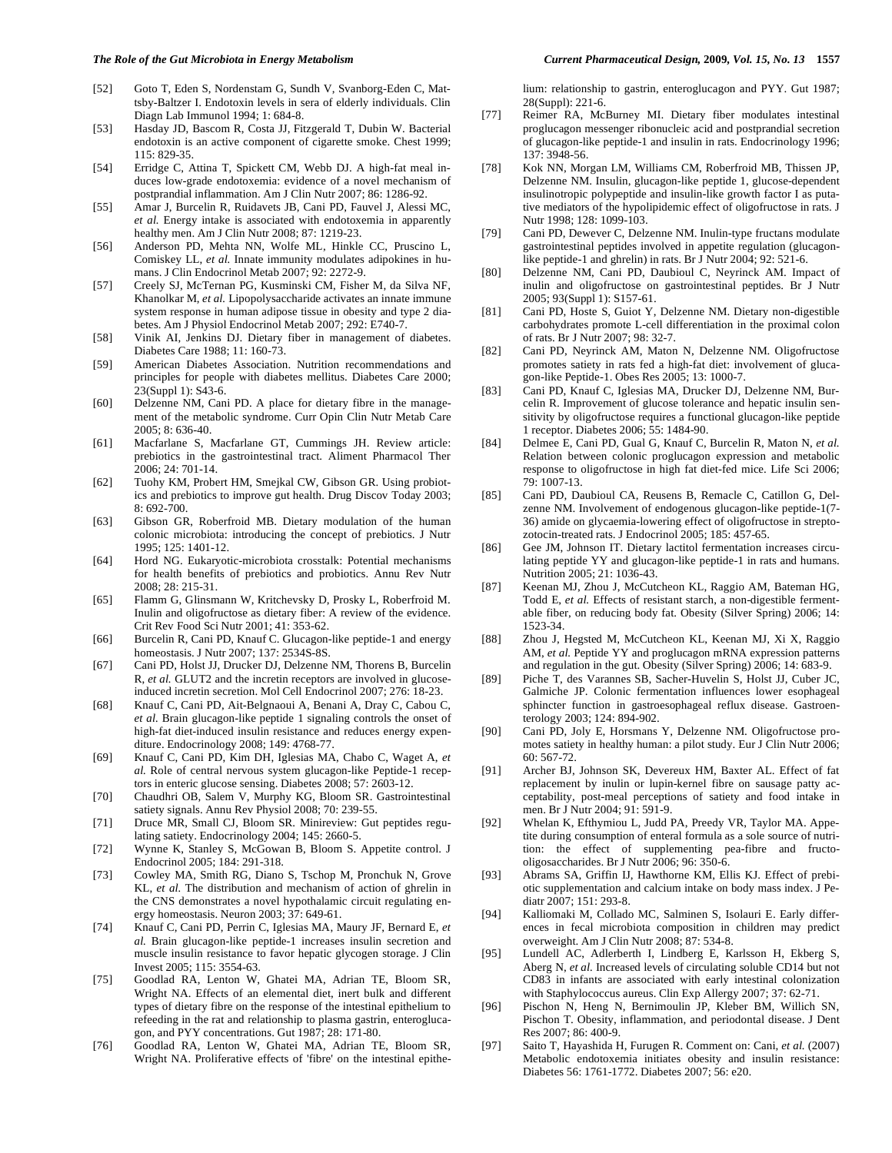- $[52]$ Goto T, Eden S, Nordenstam G, Sundh V, Svanborg-Eden C, Mattsby-Baltzer I. Endotoxin levels in sera of elderly individuals. Clin Diagn Lab Immunol 1994; 1: 684-8.
- Hasday JD, Bascom R, Costa JJ, Fitzgerald T, Dubin W. Bacterial  $[53]$ endotoxin is an active component of cigarette smoke. Chest 1999; 115: 829-35.
- $[54]$ Erridge C, Attina T, Spickett CM, Webb DJ. A high-fat meal induces low-grade endotoxemia: evidence of a novel mechanism of postprandial inflammation. Am J Clin Nutr 2007; 86: 1286-92.
- Amar J, Burcelin R, Ruidavets JB, Cani PD, Fauvel J, Alessi MC, [55] *et al.* Energy intake is associated with endotoxemia in apparently healthy men. Am J Clin Nutr 2008; 87: 1219-23.
- $[56]$ Anderson PD, Mehta NN, Wolfe ML, Hinkle CC, Pruscino L, Comiskey LL, et al. Innate immunity modulates adipokines in humans. J Clin Endocrinol Metab 2007; 92: 2272-9.
- [57] Creely SJ, McTernan PG, Kusminski CM, Fisher M, da Silva NF, Khanolkar M, et al. Lipopolysaccharide activates an innate immune system response in human adipose tissue in obesity and type 2 diabetes. Am J Physiol Endocrinol Metab 2007; 292: E740-7.
- $[58]$ Vinik AI, Jenkins DJ. Dietary fiber in management of diabetes. Diabetes Care 1988; 11: 160-73.
- $[59]$ American Diabetes Association. Nutrition recommendations and principles for people with diabetes mellitus. Diabetes Care 2000; 23(Suppl 1): S43-6.
- $[60]$ Delzenne NM, Cani PD. A place for dietary fibre in the management of the metabolic syndrome. Curr Opin Clin Nutr Metab Care 2005: 8: 636-40.
- Macfarlane S, Macfarlane GT, Cummings JH. Review article:  $[61]$ prebiotics in the gastrointestinal tract. Aliment Pharmacol Ther 2006; 24: 701-14.
- Tuohy KM, Probert HM, Smejkal CW, Gibson GR. Using probiot- $[62]$ ics and prebiotics to improve gut health. Drug Discov Today 2003;  $8:692-700.$
- $[63]$ Gibson GR, Roberfroid MB. Dietary modulation of the human colonic microbiota: introducing the concept of prebiotics. J Nutr 1995; 125: 1401-12.
- [64] Hord NG. Eukaryotic-microbiota crosstalk: Potential mechanisms for health benefits of prebiotics and probiotics. Annu Rev Nutr 2008; 28: 215-31.
- Flamm G, Glinsmann W, Kritchevsky D, Prosky L, Roberfroid M. [65] Inulin and oligofructose as dietary fiber: A review of the evidence. Crit Rev Food Sci Nutr 2001; 41: 353-62.
- Burcelin R, Cani PD, Knauf C. Glucagon-like peptide-1 and energy  $[66]$ homeostasis. J Nutr 2007; 137: 2534S-8S.
- Cani PD, Holst JJ, Drucker DJ, Delzenne NM, Thorens B, Burcelin  $[67]$ R, et al. GLUT2 and the incretin receptors are involved in glucoseinduced incretin secretion. Mol Cell Endocrinol 2007; 276: 18-23.
- $[68]$ Knauf C, Cani PD, Ait-Belgnaoui A, Benani A, Dray C, Cabou C, et al. Brain glucagon-like peptide 1 signaling controls the onset of high-fat diet-induced insulin resistance and reduces energy expenditure. Endocrinology 2008; 149: 4768-77.
- $[69]$ Knauf C, Cani PD, Kim DH, Iglesias MA, Chabo C, Waget A, et al. Role of central nervous system glucagon-like Peptide-1 receptors in enteric glucose sensing. Diabetes 2008; 57: 2603-12.
- $[70]$ Chaudhri OB, Salem V, Murphy KG, Bloom SR. Gastrointestinal satiety signals. Annu Rev Physiol 2008; 70: 239-55.
- $1711$ Druce MR, Small CJ, Bloom SR. Minireview: Gut peptides regulating satiety. Endocrinology 2004; 145: 2660-5.
- $[72]$ Wynne K, Stanley S, McGowan B, Bloom S. Appetite control. J Endocrinol 2005: 184: 291-318.
- $[73]$ Cowley MA, Smith RG, Diano S, Tschop M, Pronchuk N, Grove KL, et al. The distribution and mechanism of action of ghrelin in the CNS demonstrates a novel hypothalamic circuit regulating energy homeostasis. Neuron 2003; 37: 649-61.
- Knauf C, Cani PD, Perrin C, Iglesias MA, Maury JF, Bernard E, et  $[74]$ al. Brain glucagon-like peptide-1 increases insulin secretion and muscle insulin resistance to favor hepatic glycogen storage. J Clin Invest 2005; 115: 3554-63.
- Goodlad RA, Lenton W, Ghatei MA, Adrian TE, Bloom SR,  $[75]$ Wright NA. Effects of an elemental diet, inert bulk and different types of dietary fibre on the response of the intestinal epithelium to refeeding in the rat and relationship to plasma gastrin, enteroglucagon, and PYY concentrations. Gut 1987; 28: 171-80.
- $[76]$ Goodlad RA, Lenton W, Ghatei MA, Adrian TE, Bloom SR, Wright NA. Proliferative effects of 'fibre' on the intestinal epithe-

lium: relationship to gastrin, enteroglucagon and PYY. Gut 1987; 28(Suppl): 221-6.

- $[77]$ Reimer RA, McBurney MI. Dietary fiber modulates intestinal proglucagon messenger ribonucleic acid and postprandial secretion of glucagon-like peptide-1 and insulin in rats. Endocrinology 1996; 137: 3948-56.
- $[78]$ Kok NN, Morgan LM, Williams CM, Roberfroid MB, Thissen JP, Delzenne NM. Insulin, glucagon-like peptide 1, glucose-dependent insulinotropic polypeptide and insulin-like growth factor I as putative mediators of the hypolipidemic effect of oligofructose in rats. J Nutr 1998; 128: 1099-103.
- $[79]$ Cani PD, Dewever C, Delzenne NM. Inulin-type fructans modulate gastrointestinal peptides involved in appetite regulation (glucagonlike peptide-1 and ghrelin) in rats. Br J Nutr 2004; 92: 521-6.
- Delzenne NM, Cani PD, Daubioul C, Neyrinck AM. Impact of [80] inulin and oligofructose on gastrointestinal peptides. Br J Nutr 2005; 93(Suppl 1): S157-61.
- Cani PD, Hoste S, Guiot Y, Delzenne NM. Dietary non-digestible [81] carbohydrates promote L-cell differentiation in the proximal colon of rats. Br J Nutr 2007; 98: 32-7.
- Cani PD, Neyrinck AM, Maton N, Delzenne NM. Oligofructose  $[82]$ promotes satiety in rats fed a high-fat diet: involvement of glucagon-like Peptide-1. Obes Res 2005; 13: 1000-7.
- [83] Cani PD, Knauf C, Iglesias MA, Drucker DJ, Delzenne NM, Burcelin R. Improvement of glucose tolerance and hepatic insulin sensitivity by oligofructose requires a functional glucagon-like peptide 1 receptor. Diabetes 2006; 55: 1484-90.
- Delmee E, Cani PD, Gual G, Knauf C, Burcelin R, Maton N, et al. [84] Relation between colonic proglucagon expression and metabolic response to oligofructose in high fat diet-fed mice. Life Sci 2006;  $79 \cdot 1007 - 13$
- [85] Cani PD, Daubioul CA, Reusens B, Remacle C, Catillon G, Delzenne NM. Involvement of endogenous glucagon-like peptide-1(7-36) amide on glycaemia-lowering effect of oligofructose in streptozotocin-treated rats. J Endocrinol 2005; 185: 457-65.
- [86] Gee JM, Johnson IT. Dietary lactitol fermentation increases circulating peptide YY and glucagon-like peptide-1 in rats and humans. Nutrition 2005: 21: 1036-43
- $[87]$ Keenan MJ, Zhou J, McCutcheon KL, Raggio AM, Bateman HG, Todd E, et al. Effects of resistant starch, a non-digestible fermentable fiber, on reducing body fat. Obesity (Silver Spring) 2006; 14: 1523-34.
- Zhou J, Hegsted M, McCutcheon KL, Keenan MJ, Xi X, Raggio [88] AM, et al. Peptide YY and proglucagon mRNA expression patterns and regulation in the gut. Obesity (Silver Spring) 2006; 14: 683-9.
- [89] Piche T, des Varannes SB, Sacher-Huvelin S, Holst JJ, Cuber JC, Galmiche JP. Colonic fermentation influences lower esophageal sphincter function in gastroesophageal reflux disease. Gastroenterology 2003; 124: 894-902.
- Cani PD, Joly E, Horsmans Y, Delzenne NM. Oligofructose pro-[90] motes satiety in healthy human: a pilot study. Eur J Clin Nutr 2006;  $60.567-72$
- $[91]$ Archer BJ, Johnson SK, Devereux HM, Baxter AL. Effect of fat replacement by inulin or lupin-kernel fibre on sausage patty acceptability, post-meal perceptions of satiety and food intake in men. Br J Nutr 2004; 91: 591-9.
- $[92]$ Whelan K, Efthymiou L, Judd PA, Preedy VR, Taylor MA. Appetite during consumption of enteral formula as a sole source of nutrition: the effect of supplementing pea-fibre and fructooligosaccharides. Br J Nutr 2006: 96: 350-6.
- $[93]$ Abrams SA, Griffin IJ, Hawthorne KM, Ellis KJ. Effect of prebiotic supplementation and calcium intake on body mass index. J Pediatr 2007: 151: 293-8.
- $[94]$ Kalliomaki M, Collado MC, Salminen S, Isolauri E. Early differences in fecal microbiota composition in children may predict overweight. Am J Clin Nutr 2008; 87: 534-8.
- $[95]$ Lundell AC, Adlerberth I, Lindberg E, Karlsson H, Ekberg S, Aberg N, et al. Increased levels of circulating soluble CD14 but not CD83 in infants are associated with early intestinal colonization with Staphylococcus aureus. Clin Exp Allergy 2007; 37: 62-71.
- Pischon N, Heng N, Bernimoulin JP, Kleber BM, Willich SN, [96] Pischon T. Obesity, inflammation, and periodontal disease. J Dent Res 2007; 86: 400-9.
- $[97]$ Saito T, Hayashida H, Furugen R. Comment on: Cani, et al. (2007) Metabolic endotoxemia initiates obesity and insulin resistance: Diabetes 56: 1761-1772. Diabetes 2007; 56: e20.